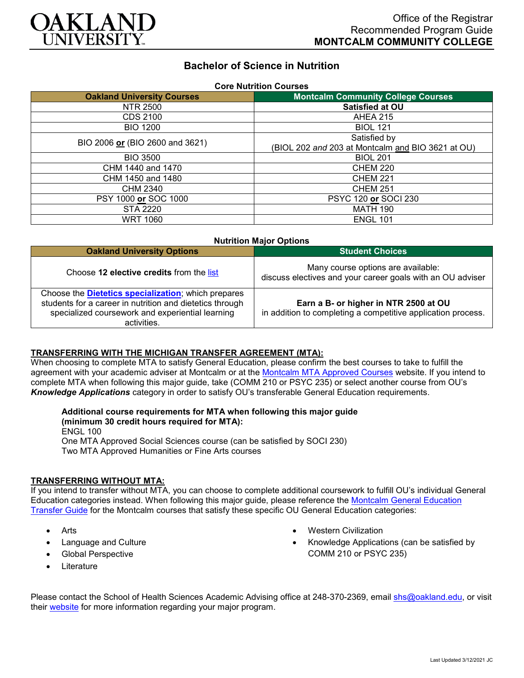

# **Bachelor of Science in Nutrition**

| <b>Core Nutrition Courses</b>     |                                                   |
|-----------------------------------|---------------------------------------------------|
| <b>Oakland University Courses</b> | <b>Montcalm Community College Courses</b>         |
| NTR 2500                          | Satisfied at OU                                   |
| CDS 2100                          | <b>AHEA 215</b>                                   |
| <b>BIO 1200</b>                   | <b>BIOL 121</b>                                   |
| BIO 2006 or (BIO 2600 and 3621)   | Satisfied by                                      |
|                                   | (BIOL 202 and 203 at Montcalm and BIO 3621 at OU) |
| <b>BIO 3500</b>                   | <b>BIOL 201</b>                                   |
| CHM 1440 and 1470                 | <b>CHEM 220</b>                                   |
| CHM 1450 and 1480                 | <b>CHEM 221</b>                                   |
| CHM 2340                          | <b>CHEM 251</b>                                   |
| PSY 1000 or SOC 1000              | PSYC 120 or SOCI 230                              |
| STA 2220                          | <b>MATH 190</b>                                   |
| <b>WRT 1060</b>                   | <b>ENGL 101</b>                                   |

| <b>Nutrition Major Options</b>                                                                                                                                                             |                                                                                                       |
|--------------------------------------------------------------------------------------------------------------------------------------------------------------------------------------------|-------------------------------------------------------------------------------------------------------|
| <b>Oakland University Options</b>                                                                                                                                                          | <b>Student Choices</b>                                                                                |
| Choose 12 elective credits from the list                                                                                                                                                   | Many course options are available:<br>discuss electives and your career goals with an OU adviser      |
| Choose the <b>Dietetics specialization</b> ; which prepares<br>students for a career in nutrition and dietetics through<br>specialized coursework and experiential learning<br>activities. | Earn a B- or higher in NTR 2500 at OU<br>in addition to completing a competitive application process. |

#### **TRANSFERRING WITH THE MICHIGAN TRANSFER AGREEMENT (MTA):**

When choosing to complete MTA to satisfy General Education, please confirm the best courses to take to fulfill the agreement with your academic adviser at Montcalm or at the [Montcalm MTA Approved Courses](https://www.montcalm.edu/counseling/transfer/) website. If you intend to complete MTA when following this major guide, take (COMM 210 or PSYC 235) or select another course from OU's *Knowledge Applications* category in order to satisfy OU's transferable General Education requirements.

## **Additional course requirements for MTA when following this major guide**

**(minimum 30 credit hours required for MTA):** ENGL 100 One MTA Approved Social Sciences course (can be satisfied by SOCI 230) Two MTA Approved Humanities or Fine Arts courses

### **TRANSFERRING WITHOUT MTA:**

If you intend to transfer without MTA, you can choose to complete additional coursework to fulfill OU's individual General Education categories instead. When following this major guide, please reference the [Montcalm General Education](https://www.oakland.edu/Assets/Oakland/program-guides/montcalm-community-college/university-general-education-requirements/Montcalm%20Gen%20Ed.pdf)  [Transfer Guide](https://www.oakland.edu/Assets/Oakland/program-guides/montcalm-community-college/university-general-education-requirements/Montcalm%20Gen%20Ed.pdf) for the Montcalm courses that satisfy these specific OU General Education categories:

- **Arts**
- Language and Culture
- Global Perspective
- **Literature**
- Western Civilization
- Knowledge Applications (can be satisfied by COMM 210 or PSYC 235)

Please contact the School of Health Sciences Academic Advising office at 248-370-2369, email [shs@oakland.edu,](mailto:shs@oakland.edu) or visit their [website](http://www.oakland.edu/shs/advising) for more information regarding your major program.